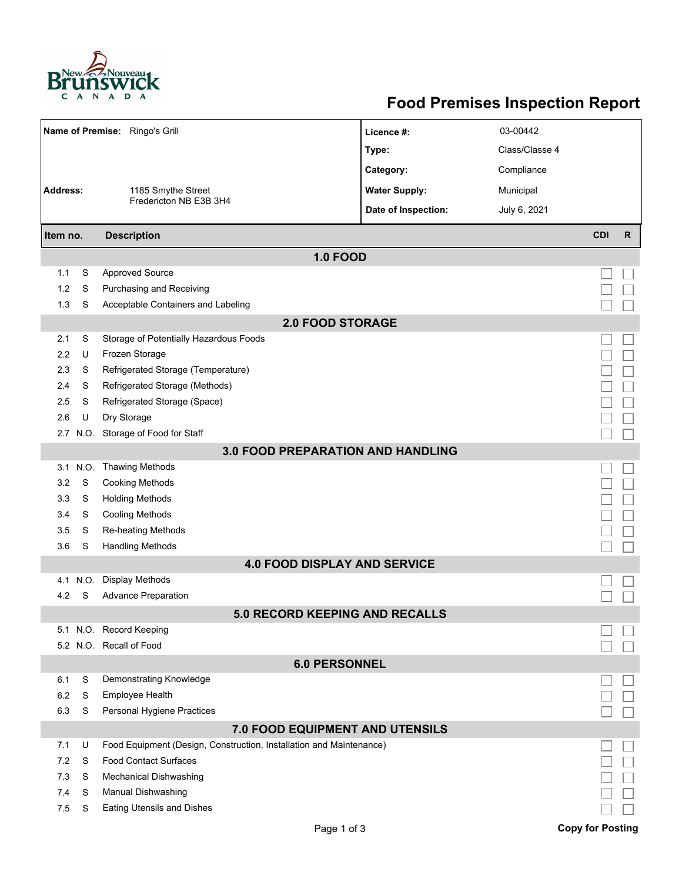

## **Food Premises Inspection Report**

| Name of Premise: Ringo's Grill           |      |                                                                     | Licence #:           | 03-00442       |                         |              |  |  |  |  |  |
|------------------------------------------|------|---------------------------------------------------------------------|----------------------|----------------|-------------------------|--------------|--|--|--|--|--|
|                                          |      |                                                                     | Type:                | Class/Classe 4 |                         |              |  |  |  |  |  |
|                                          |      |                                                                     | Category:            | Compliance     |                         |              |  |  |  |  |  |
| <b>Address:</b><br>1185 Smythe Street    |      |                                                                     | <b>Water Supply:</b> | Municipal      |                         |              |  |  |  |  |  |
|                                          |      | Fredericton NB E3B 3H4                                              | Date of Inspection:  | July 6, 2021   |                         |              |  |  |  |  |  |
|                                          |      |                                                                     |                      |                |                         |              |  |  |  |  |  |
| Item no.                                 |      | <b>Description</b>                                                  |                      |                | <b>CDI</b>              | $\mathsf{R}$ |  |  |  |  |  |
| <b>1.0 FOOD</b>                          |      |                                                                     |                      |                |                         |              |  |  |  |  |  |
| 1.1                                      | S    | <b>Approved Source</b>                                              |                      |                |                         |              |  |  |  |  |  |
| 1.2                                      | S    | Purchasing and Receiving                                            |                      |                |                         |              |  |  |  |  |  |
| 1.3                                      | S    | Acceptable Containers and Labeling                                  |                      |                |                         |              |  |  |  |  |  |
| <b>2.0 FOOD STORAGE</b>                  |      |                                                                     |                      |                |                         |              |  |  |  |  |  |
| 2.1                                      | S    | Storage of Potentially Hazardous Foods                              |                      |                |                         |              |  |  |  |  |  |
| 2.2                                      | U    | Frozen Storage                                                      |                      |                |                         |              |  |  |  |  |  |
| 2.3                                      | S    | Refrigerated Storage (Temperature)                                  |                      |                |                         |              |  |  |  |  |  |
| 2.4                                      | S    | Refrigerated Storage (Methods)                                      |                      |                |                         |              |  |  |  |  |  |
| 2.5                                      | S    | Refrigerated Storage (Space)                                        |                      |                |                         |              |  |  |  |  |  |
| 2.6                                      | U    | Dry Storage                                                         |                      |                |                         |              |  |  |  |  |  |
|                                          |      | 2.7 N.O. Storage of Food for Staff                                  |                      |                |                         |              |  |  |  |  |  |
| <b>3.0 FOOD PREPARATION AND HANDLING</b> |      |                                                                     |                      |                |                         |              |  |  |  |  |  |
| 3.1                                      | N.O. | <b>Thawing Methods</b>                                              |                      |                |                         |              |  |  |  |  |  |
| 3.2                                      | S    | <b>Cooking Methods</b>                                              |                      |                |                         |              |  |  |  |  |  |
| 3.3                                      | S    | <b>Holding Methods</b>                                              |                      |                |                         |              |  |  |  |  |  |
| 3.4                                      | S    | Cooling Methods                                                     |                      |                |                         |              |  |  |  |  |  |
| 3.5                                      | S    | Re-heating Methods                                                  |                      |                |                         |              |  |  |  |  |  |
| 3.6                                      | S    | <b>Handling Methods</b>                                             |                      |                |                         |              |  |  |  |  |  |
|                                          |      | <b>4.0 FOOD DISPLAY AND SERVICE</b>                                 |                      |                |                         |              |  |  |  |  |  |
| 4.1                                      | N.O. | Display Methods                                                     |                      |                |                         |              |  |  |  |  |  |
| 4.2                                      | S    | <b>Advance Preparation</b>                                          |                      |                |                         |              |  |  |  |  |  |
|                                          |      | <b>5.0 RECORD KEEPING AND RECALLS</b>                               |                      |                |                         |              |  |  |  |  |  |
|                                          |      | 5.1 N.O. Record Keeping                                             |                      |                |                         |              |  |  |  |  |  |
|                                          |      | 5.2 N.O. Recall of Food                                             |                      |                |                         |              |  |  |  |  |  |
| <b>6.0 PERSONNEL</b>                     |      |                                                                     |                      |                |                         |              |  |  |  |  |  |
| 6.1                                      | S    | Demonstrating Knowledge                                             |                      |                |                         |              |  |  |  |  |  |
| 6.2                                      | S    | Employee Health                                                     |                      |                |                         |              |  |  |  |  |  |
| 6.3                                      | S    | Personal Hygiene Practices                                          |                      |                |                         |              |  |  |  |  |  |
| 7.0 FOOD EQUIPMENT AND UTENSILS          |      |                                                                     |                      |                |                         |              |  |  |  |  |  |
| 7.1                                      | U    | Food Equipment (Design, Construction, Installation and Maintenance) |                      |                |                         |              |  |  |  |  |  |
| 7.2                                      | S    | <b>Food Contact Surfaces</b>                                        |                      |                |                         |              |  |  |  |  |  |
| 7.3                                      | S    | Mechanical Dishwashing                                              |                      |                |                         |              |  |  |  |  |  |
| 7.4                                      | S    | Manual Dishwashing                                                  |                      |                |                         |              |  |  |  |  |  |
| 7.5                                      | S    | Eating Utensils and Dishes                                          |                      |                |                         |              |  |  |  |  |  |
|                                          |      | Page 1 of 3                                                         |                      |                | <b>Copy for Posting</b> |              |  |  |  |  |  |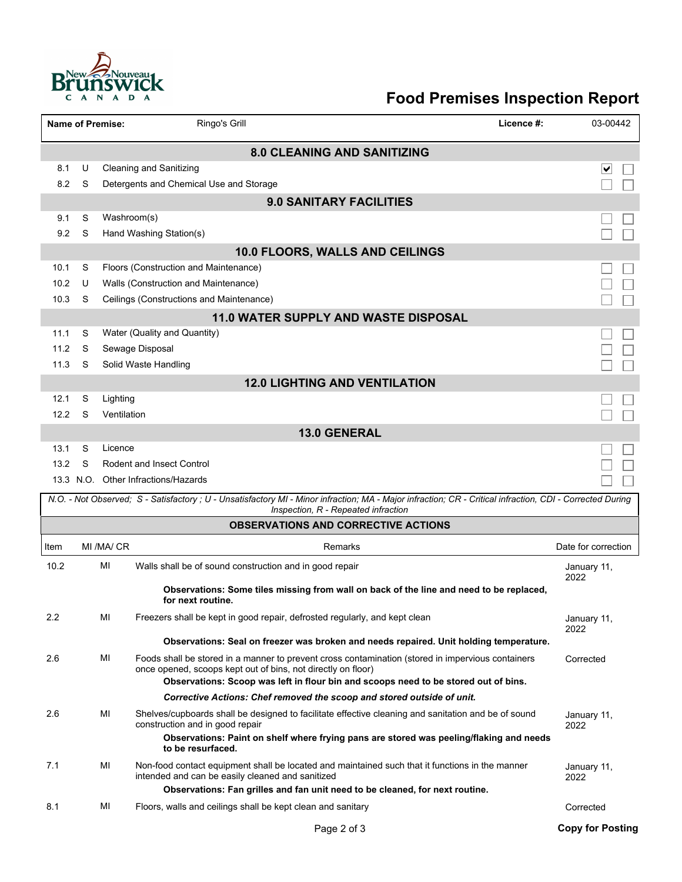

## **Food Premises Inspection Report**

|                                                                                   | <b>Name of Premise:</b><br>Ringo's Grill<br>Licence #: |                         |                                                                                                                                                                                                                                     |                         |  |  |  |  |  |  |  |
|-----------------------------------------------------------------------------------|--------------------------------------------------------|-------------------------|-------------------------------------------------------------------------------------------------------------------------------------------------------------------------------------------------------------------------------------|-------------------------|--|--|--|--|--|--|--|
| <b>8.0 CLEANING AND SANITIZING</b>                                                |                                                        |                         |                                                                                                                                                                                                                                     |                         |  |  |  |  |  |  |  |
| 8.1                                                                               | U                                                      |                         | <b>Cleaning and Sanitizing</b>                                                                                                                                                                                                      | ∨                       |  |  |  |  |  |  |  |
| 8.2                                                                               | S                                                      |                         | Detergents and Chemical Use and Storage                                                                                                                                                                                             |                         |  |  |  |  |  |  |  |
|                                                                                   |                                                        |                         | <b>9.0 SANITARY FACILITIES</b>                                                                                                                                                                                                      |                         |  |  |  |  |  |  |  |
| 9.1                                                                               | S                                                      | Washroom(s)             |                                                                                                                                                                                                                                     |                         |  |  |  |  |  |  |  |
| 9.2                                                                               | S                                                      |                         | Hand Washing Station(s)                                                                                                                                                                                                             |                         |  |  |  |  |  |  |  |
|                                                                                   | 10.0 FLOORS, WALLS AND CEILINGS                        |                         |                                                                                                                                                                                                                                     |                         |  |  |  |  |  |  |  |
| 10.1                                                                              | S                                                      |                         | Floors (Construction and Maintenance)                                                                                                                                                                                               |                         |  |  |  |  |  |  |  |
| 10.2                                                                              | U                                                      |                         | Walls (Construction and Maintenance)                                                                                                                                                                                                |                         |  |  |  |  |  |  |  |
| 10.3                                                                              | S                                                      |                         | Ceilings (Constructions and Maintenance)                                                                                                                                                                                            |                         |  |  |  |  |  |  |  |
| <b>11.0 WATER SUPPLY AND WASTE DISPOSAL</b>                                       |                                                        |                         |                                                                                                                                                                                                                                     |                         |  |  |  |  |  |  |  |
| 11.1                                                                              | S                                                      |                         | Water (Quality and Quantity)                                                                                                                                                                                                        |                         |  |  |  |  |  |  |  |
| 11.2                                                                              | S                                                      |                         | Sewage Disposal                                                                                                                                                                                                                     |                         |  |  |  |  |  |  |  |
| 11.3                                                                              | S                                                      |                         | Solid Waste Handling                                                                                                                                                                                                                |                         |  |  |  |  |  |  |  |
|                                                                                   |                                                        |                         | <b>12.0 LIGHTING AND VENTILATION</b>                                                                                                                                                                                                |                         |  |  |  |  |  |  |  |
| 12.1<br>12.2                                                                      | S<br>S                                                 | Lighting<br>Ventilation |                                                                                                                                                                                                                                     |                         |  |  |  |  |  |  |  |
|                                                                                   |                                                        |                         | 13.0 GENERAL                                                                                                                                                                                                                        |                         |  |  |  |  |  |  |  |
| 13.1                                                                              | S                                                      | Licence                 |                                                                                                                                                                                                                                     |                         |  |  |  |  |  |  |  |
| 13.2                                                                              | S                                                      |                         | <b>Rodent and Insect Control</b>                                                                                                                                                                                                    |                         |  |  |  |  |  |  |  |
|                                                                                   |                                                        |                         | 13.3 N.O. Other Infractions/Hazards                                                                                                                                                                                                 |                         |  |  |  |  |  |  |  |
|                                                                                   |                                                        |                         | N.O. - Not Observed; S - Satisfactory; U - Unsatisfactory MI - Minor infraction; MA - Major infraction; CR - Critical infraction, CDI - Corrected During                                                                            |                         |  |  |  |  |  |  |  |
| Inspection, R - Repeated infraction<br><b>OBSERVATIONS AND CORRECTIVE ACTIONS</b> |                                                        |                         |                                                                                                                                                                                                                                     |                         |  |  |  |  |  |  |  |
| Item                                                                              |                                                        | MI /MA/ CR              | Remarks                                                                                                                                                                                                                             | Date for correction     |  |  |  |  |  |  |  |
| 10.2                                                                              |                                                        | MI                      | Walls shall be of sound construction and in good repair                                                                                                                                                                             | January 11,             |  |  |  |  |  |  |  |
|                                                                                   |                                                        |                         | Observations: Some tiles missing from wall on back of the line and need to be replaced,<br>for next routine.                                                                                                                        | 2022                    |  |  |  |  |  |  |  |
| 2.2                                                                               |                                                        | MI                      | Freezers shall be kept in good repair, defrosted regularly, and kept clean                                                                                                                                                          | January 11,             |  |  |  |  |  |  |  |
|                                                                                   |                                                        |                         |                                                                                                                                                                                                                                     | 2022                    |  |  |  |  |  |  |  |
|                                                                                   |                                                        |                         | Observations: Seal on freezer was broken and needs repaired. Unit holding temperature.                                                                                                                                              |                         |  |  |  |  |  |  |  |
| 2.6                                                                               |                                                        | MI                      | Foods shall be stored in a manner to prevent cross contamination (stored in impervious containers<br>once opened, scoops kept out of bins, not directly on floor)                                                                   | Corrected               |  |  |  |  |  |  |  |
|                                                                                   |                                                        |                         | Observations: Scoop was left in flour bin and scoops need to be stored out of bins.                                                                                                                                                 |                         |  |  |  |  |  |  |  |
|                                                                                   |                                                        |                         | Corrective Actions: Chef removed the scoop and stored outside of unit.                                                                                                                                                              |                         |  |  |  |  |  |  |  |
| 2.6                                                                               |                                                        | MI                      | Shelves/cupboards shall be designed to facilitate effective cleaning and sanitation and be of sound<br>construction and in good repair                                                                                              | January 11,<br>2022     |  |  |  |  |  |  |  |
|                                                                                   |                                                        |                         | Observations: Paint on shelf where frying pans are stored was peeling/flaking and needs<br>to be resurfaced.                                                                                                                        |                         |  |  |  |  |  |  |  |
| 7.1                                                                               |                                                        | MI                      | Non-food contact equipment shall be located and maintained such that it functions in the manner<br>intended and can be easily cleaned and sanitized<br>Observations: Fan grilles and fan unit need to be cleaned, for next routine. | January 11,<br>2022     |  |  |  |  |  |  |  |
| 8.1                                                                               |                                                        | MI                      | Floors, walls and ceilings shall be kept clean and sanitary                                                                                                                                                                         | Corrected               |  |  |  |  |  |  |  |
|                                                                                   |                                                        |                         | Page 2 of 3                                                                                                                                                                                                                         | <b>Copy for Posting</b> |  |  |  |  |  |  |  |